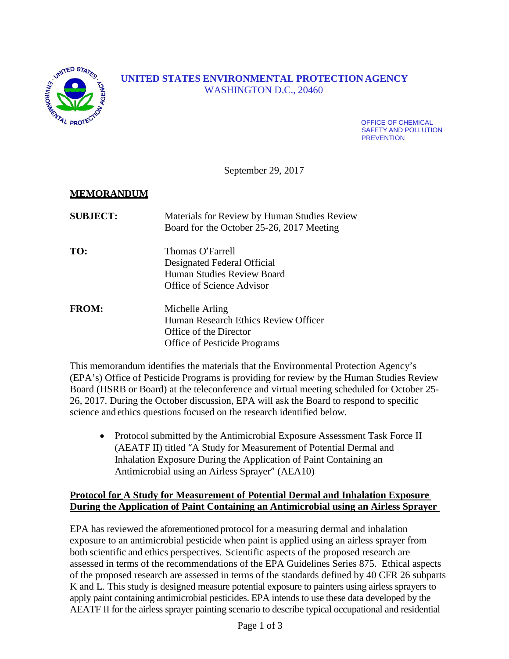

# **UNITED STATES ENVIRONMENTAL PROTECTION AGENCY** WASHINGTON D.C., 20460

OFFICE OF CHEMICAL SAFETY AND POLLUTION **PREVENTION** 

September 29, 2017

## **MEMORANDUM**

| <b>SUBJECT:</b> | Materials for Review by Human Studies Review<br>Board for the October 25-26, 2017 Meeting                         |
|-----------------|-------------------------------------------------------------------------------------------------------------------|
| TO:             | Thomas O'Farrell<br>Designated Federal Official<br>Human Studies Review Board<br>Office of Science Advisor        |
| <b>FROM:</b>    | Michelle Arling<br>Human Research Ethics Review Officer<br>Office of the Director<br>Office of Pesticide Programs |

This memorandum identifies the materials that the Environmental Protection Agency's (EPA's) Office of Pesticide Programs is providing for review by the Human Studies Review Board (HSRB or Board) at the teleconference and virtual meeting scheduled for October 25- 26, 2017. During the October discussion, EPA will ask the Board to respond to specific science and ethics questions focused on the research identified below.

• Protocol submitted by the Antimicrobial Exposure Assessment Task Force II (AEATF II) titled "A Study for Measurement of Potential Dermal and Inhalation Exposure During the Application of Paint Containing an Antimicrobial using an Airless Sprayer" (AEA10)

### **Protocol for A Study for Measurement of Potential Dermal and Inhalation Exposure During the Application of Paint Containing an Antimicrobial using an Airless Sprayer**

EPA has reviewed the aforementioned protocol for a measuring dermal and inhalation exposure to an antimicrobial pesticide when paint is applied using an airless sprayer from both scientific and ethics perspectives. Scientific aspects of the proposed research are assessed in terms of the recommendations of the EPA Guidelines Series 875. Ethical aspects of the proposed research are assessed in terms of the standards defined by 40 CFR 26 subparts K and L. This study is designed measure potential exposure to painters using airless sprayers to apply paint containing antimicrobial pesticides. EPA intends to use these data developed by the AEATF II for the airless sprayer painting scenario to describe typical occupational and residential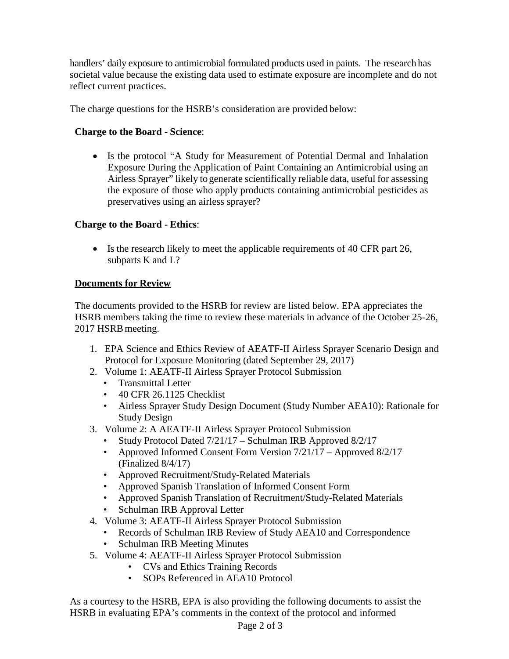handlers' daily exposure to antimicrobial formulated products used in paints. The research has societal value because the existing data used to estimate exposure are incomplete and do not reflect current practices.

The charge questions for the HSRB's consideration are provided below:

## **Charge to the Board - Science**:

• Is the protocol "A Study for Measurement of Potential Dermal and Inhalation Exposure During the Application of Paint Containing an Antimicrobial using an Airless Sprayer" likely to generate scientifically reliable data, useful for assessing the exposure of those who apply products containing antimicrobial pesticides as preservatives using an airless sprayer?

## **Charge to the Board - Ethics**:

• Is the research likely to meet the applicable requirements of 40 CFR part 26, subparts K and L?

## **Documents for Review**

The documents provided to the HSRB for review are listed below. EPA appreciates the HSRB members taking the time to review these materials in advance of the October 25-26, 2017 HSRB meeting.

- 1. EPA Science and Ethics Review of AEATF-II Airless Sprayer Scenario Design and Protocol for Exposure Monitoring (dated September 29, 2017)
- 2. Volume 1: AEATF-II Airless Sprayer Protocol Submission
	- Transmittal Letter
	- 40 CFR 26.1125 Checklist
	- Airless Sprayer Study Design Document (Study Number AEA10): Rationale for Study Design
- 3. Volume 2: A AEATF-II Airless Sprayer Protocol Submission
	- Study Protocol Dated 7/21/17 Schulman IRB Approved 8/2/17
	- Approved Informed Consent Form Version  $7/21/17$  Approved 8/2/17 (Finalized 8/4/17)
	- Approved Recruitment/Study-Related Materials
	- Approved Spanish Translation of Informed Consent Form
	- Approved Spanish Translation of Recruitment/Study-Related Materials
	- Schulman IRB Approval Letter
- 4. Volume 3: AEATF-II Airless Sprayer Protocol Submission
	- Records of Schulman IRB Review of Study AEA10 and Correspondence
	- Schulman IRB Meeting Minutes
- 5. Volume 4: AEATF-II Airless Sprayer Protocol Submission
	- CVs and Ethics Training Records
	- SOPs Referenced in AEA10 Protocol

As a courtesy to the HSRB, EPA is also providing the following documents to assist the HSRB in evaluating EPA's comments in the context of the protocol and informed